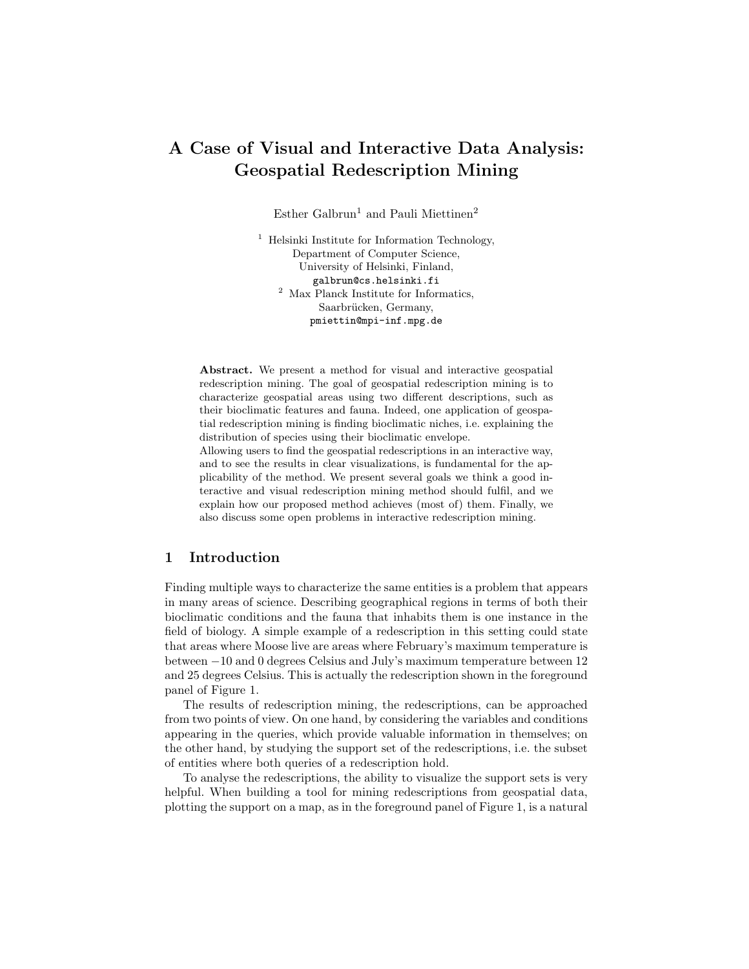# A Case of Visual and Interactive Data Analysis: Geospatial Redescription Mining

Esther Galbrun<sup>1</sup> and Pauli Miettinen<sup>2</sup>

<sup>1</sup> Helsinki Institute for Information Technology, Department of Computer Science, University of Helsinki, Finland, galbrun@cs.helsinki.fi <sup>2</sup> Max Planck Institute for Informatics, Saarbrücken, Germany, pmiettin@mpi-inf.mpg.de

Abstract. We present a method for visual and interactive geospatial redescription mining. The goal of geospatial redescription mining is to characterize geospatial areas using two different descriptions, such as their bioclimatic features and fauna. Indeed, one application of geospatial redescription mining is finding bioclimatic niches, i.e. explaining the distribution of species using their bioclimatic envelope.

Allowing users to find the geospatial redescriptions in an interactive way, and to see the results in clear visualizations, is fundamental for the applicability of the method. We present several goals we think a good interactive and visual redescription mining method should fulfil, and we explain how our proposed method achieves (most of) them. Finally, we also discuss some open problems in interactive redescription mining.

# 1 Introduction

Finding multiple ways to characterize the same entities is a problem that appears in many areas of science. Describing geographical regions in terms of both their bioclimatic conditions and the fauna that inhabits them is one instance in the field of biology. A simple example of a redescription in this setting could state that areas where Moose live are areas where February's maximum temperature is between −10 and 0 degrees Celsius and July's maximum temperature between 12 and 25 degrees Celsius. This is actually the redescription shown in the foreground panel of Figure 1.

The results of redescription mining, the redescriptions, can be approached from two points of view. On one hand, by considering the variables and conditions appearing in the queries, which provide valuable information in themselves; on the other hand, by studying the support set of the redescriptions, i.e. the subset of entities where both queries of a redescription hold.

To analyse the redescriptions, the ability to visualize the support sets is very helpful. When building a tool for mining redescriptions from geospatial data, plotting the support on a map, as in the foreground panel of Figure 1, is a natural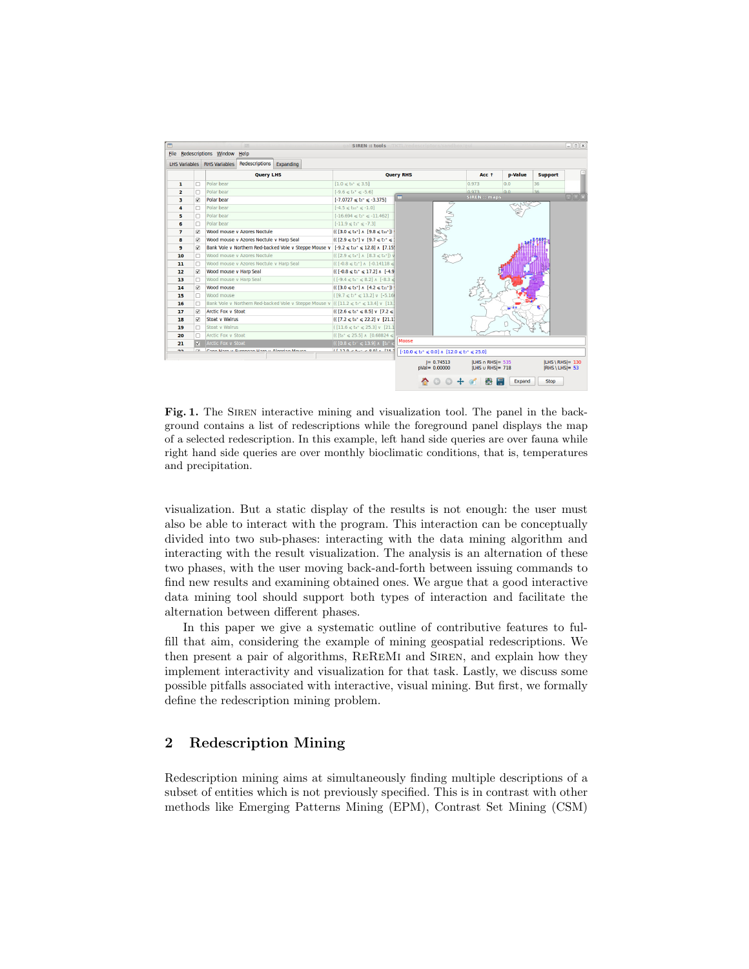| Polar bear<br>п<br>ı<br>Polar bear<br>o<br>$\overline{2}$<br>R.<br>3<br>4<br>п<br>п<br>5<br>6<br>□<br>$\overline{7}$<br>M<br>8<br>☑<br><b>V</b><br>9<br>10<br>п<br>11<br>п<br><b>V</b><br>12<br>13<br>$\Box$<br>⊽<br>14 | <b>Ouerv LHS</b><br>Polar bear<br>Polar bear<br>Polar bear<br>Polar bear<br>Wood mouse v Azores Noctule<br>Wood mouse v Azores Noctule v Harp Seal<br>Bank Vole v Northern Red-backed Vole v Steppe Mouse v $[-9.2 \le t_{12} + 12.8]$ ^ [7.15]<br>Wood mouse y Azores Noctule<br>Wood mouse v Azores Noctule v Harp Seal<br>Wood mouse v Harp Seal<br>Wood mouse v Harp Seal | $[1.0 \le t_0^* \le 3.5]$<br>$[-9.6 \le t^4 \le -5.6]$<br>$[-7.0727 \leq t_5^{\circ} \leq -3.375]$<br>$[-4.5 \le$ to <sup>+</sup> $\le$ -1.0]<br>$[-16.694 \le t]$ $\le$ $-11.462]$<br>$[-11.9 \le t^+ \le -7.3]$<br>$((3.0 \le t^{-1}) \land [9.8 \le t^{-1})$<br>$((2.9 \le t)^+]$ v $[9.7 \le t^+ \le 1]$<br>$(([2.9 \leq t^{-1}] \land [8.3 \leq t^{-1}])$<br>$(([-0.8 \le t^{-1}] \land [-0.14118 \le$<br>$((1-0.8 \le t)^+ \le 17.2]$ ^ [-4.9]<br>$([-9.4 \le t_1^- \le 8.2]$ $\land$ [-8.3 $\le$ | <b>Ouerv RHS</b><br>m                                       | WN | Acc 1<br>0.973<br>0.973<br>SIREN :: maps | p-Value<br>0.0<br>0.0 | <b>Support</b><br>36<br>36 | $\Box$ m $\times$ |
|-------------------------------------------------------------------------------------------------------------------------------------------------------------------------------------------------------------------------|-------------------------------------------------------------------------------------------------------------------------------------------------------------------------------------------------------------------------------------------------------------------------------------------------------------------------------------------------------------------------------|---------------------------------------------------------------------------------------------------------------------------------------------------------------------------------------------------------------------------------------------------------------------------------------------------------------------------------------------------------------------------------------------------------------------------------------------------------------------------------------------------------|-------------------------------------------------------------|----|------------------------------------------|-----------------------|----------------------------|-------------------|
|                                                                                                                                                                                                                         |                                                                                                                                                                                                                                                                                                                                                                               |                                                                                                                                                                                                                                                                                                                                                                                                                                                                                                         |                                                             |    |                                          |                       |                            |                   |
|                                                                                                                                                                                                                         |                                                                                                                                                                                                                                                                                                                                                                               |                                                                                                                                                                                                                                                                                                                                                                                                                                                                                                         |                                                             |    |                                          |                       |                            |                   |
|                                                                                                                                                                                                                         |                                                                                                                                                                                                                                                                                                                                                                               |                                                                                                                                                                                                                                                                                                                                                                                                                                                                                                         |                                                             |    |                                          |                       |                            |                   |
|                                                                                                                                                                                                                         |                                                                                                                                                                                                                                                                                                                                                                               |                                                                                                                                                                                                                                                                                                                                                                                                                                                                                                         |                                                             |    |                                          |                       |                            |                   |
|                                                                                                                                                                                                                         |                                                                                                                                                                                                                                                                                                                                                                               |                                                                                                                                                                                                                                                                                                                                                                                                                                                                                                         |                                                             |    |                                          |                       |                            |                   |
|                                                                                                                                                                                                                         |                                                                                                                                                                                                                                                                                                                                                                               |                                                                                                                                                                                                                                                                                                                                                                                                                                                                                                         |                                                             |    |                                          |                       |                            |                   |
|                                                                                                                                                                                                                         |                                                                                                                                                                                                                                                                                                                                                                               |                                                                                                                                                                                                                                                                                                                                                                                                                                                                                                         |                                                             |    |                                          |                       |                            |                   |
|                                                                                                                                                                                                                         |                                                                                                                                                                                                                                                                                                                                                                               |                                                                                                                                                                                                                                                                                                                                                                                                                                                                                                         |                                                             |    |                                          |                       |                            |                   |
|                                                                                                                                                                                                                         |                                                                                                                                                                                                                                                                                                                                                                               |                                                                                                                                                                                                                                                                                                                                                                                                                                                                                                         |                                                             |    |                                          |                       |                            |                   |
|                                                                                                                                                                                                                         |                                                                                                                                                                                                                                                                                                                                                                               |                                                                                                                                                                                                                                                                                                                                                                                                                                                                                                         |                                                             |    |                                          |                       |                            |                   |
|                                                                                                                                                                                                                         |                                                                                                                                                                                                                                                                                                                                                                               |                                                                                                                                                                                                                                                                                                                                                                                                                                                                                                         |                                                             |    |                                          |                       |                            |                   |
|                                                                                                                                                                                                                         |                                                                                                                                                                                                                                                                                                                                                                               |                                                                                                                                                                                                                                                                                                                                                                                                                                                                                                         |                                                             |    |                                          |                       |                            |                   |
|                                                                                                                                                                                                                         |                                                                                                                                                                                                                                                                                                                                                                               |                                                                                                                                                                                                                                                                                                                                                                                                                                                                                                         |                                                             |    |                                          |                       |                            |                   |
|                                                                                                                                                                                                                         |                                                                                                                                                                                                                                                                                                                                                                               |                                                                                                                                                                                                                                                                                                                                                                                                                                                                                                         |                                                             |    |                                          |                       |                            |                   |
|                                                                                                                                                                                                                         | Wood mouse                                                                                                                                                                                                                                                                                                                                                                    | $((3.0 \le t^{-1}) \land (4.2 \le t^{-1})$                                                                                                                                                                                                                                                                                                                                                                                                                                                              |                                                             |    |                                          |                       |                            |                   |
| 15<br>o                                                                                                                                                                                                                 | Wood mouse                                                                                                                                                                                                                                                                                                                                                                    | $(19.7 \le t)^+ \le 13.2$ v $[-5.16]$                                                                                                                                                                                                                                                                                                                                                                                                                                                                   |                                                             |    |                                          |                       |                            |                   |
| □<br>16                                                                                                                                                                                                                 | Bank Vole v Northern Red-backed Vole v Steppe Mouse v $(([11.2 \le t)^+ \le 13.4]$ v $[13.1]$                                                                                                                                                                                                                                                                                 |                                                                                                                                                                                                                                                                                                                                                                                                                                                                                                         |                                                             |    |                                          |                       |                            |                   |
| ⊽<br>17                                                                                                                                                                                                                 | <b>Arctic Fox v Stoat</b>                                                                                                                                                                                                                                                                                                                                                     | $((2.6 \le t_0^* \le 8.5) \vee [7.2 \le$                                                                                                                                                                                                                                                                                                                                                                                                                                                                |                                                             |    |                                          |                       |                            |                   |
| ☑<br>18                                                                                                                                                                                                                 | Stoat v Walrus                                                                                                                                                                                                                                                                                                                                                                | $(([7.2 \leq t_{0}^{+} \leq 22.2] \vee [21.1])$                                                                                                                                                                                                                                                                                                                                                                                                                                                         |                                                             |    |                                          |                       |                            |                   |
| □<br>19                                                                                                                                                                                                                 | Stoat v Walrus                                                                                                                                                                                                                                                                                                                                                                | $([11.6 \leq t_s^+ \leq 25.3] \vee [21.1$                                                                                                                                                                                                                                                                                                                                                                                                                                                               |                                                             |    |                                          |                       |                            |                   |
| п<br>20                                                                                                                                                                                                                 | Arctic Fox v Stoat                                                                                                                                                                                                                                                                                                                                                            | $(($ [to* $\leq$ 25.5] $\land$ [0.68824 $\leq$                                                                                                                                                                                                                                                                                                                                                                                                                                                          |                                                             |    |                                          |                       |                            |                   |
| V<br>21                                                                                                                                                                                                                 | Arctic Fox v Stoat                                                                                                                                                                                                                                                                                                                                                            | $(10.8 < t^{-} < 13.91 \text{ A}$ Its <sup>+</sup>                                                                                                                                                                                                                                                                                                                                                                                                                                                      | Moose                                                       |    |                                          |                       |                            |                   |
| $\overline{\phantom{a}}$<br><b>CALL</b>                                                                                                                                                                                 | Cono Maro y Duranoso Maro y Algorian Mouco                                                                                                                                                                                                                                                                                                                                    | $11120 \times 1.15 \times 0.01$ + T152                                                                                                                                                                                                                                                                                                                                                                                                                                                                  | $[-10.0 \le t^+ \le 0.0]$ $\land$ $[12.0 \le t^- \le 25.0]$ |    |                                          |                       |                            |                   |

Fig. 1. The SIREN interactive mining and visualization tool. The panel in the background contains a list of redescriptions while the foreground panel displays the map of a selected redescription. In this example, left hand side queries are over fauna while right hand side queries are over monthly bioclimatic conditions, that is, temperatures and precipitation.

visualization. But a static display of the results is not enough: the user must also be able to interact with the program. This interaction can be conceptually divided into two sub-phases: interacting with the data mining algorithm and interacting with the result visualization. The analysis is an alternation of these two phases, with the user moving back-and-forth between issuing commands to find new results and examining obtained ones. We argue that a good interactive data mining tool should support both types of interaction and facilitate the alternation between different phases.

In this paper we give a systematic outline of contributive features to fulfill that aim, considering the example of mining geospatial redescriptions. We then present a pair of algorithms, ReReMi and Siren, and explain how they implement interactivity and visualization for that task. Lastly, we discuss some possible pitfalls associated with interactive, visual mining. But first, we formally define the redescription mining problem.

# 2 Redescription Mining

Redescription mining aims at simultaneously finding multiple descriptions of a subset of entities which is not previously specified. This is in contrast with other methods like Emerging Patterns Mining (EPM), Contrast Set Mining (CSM)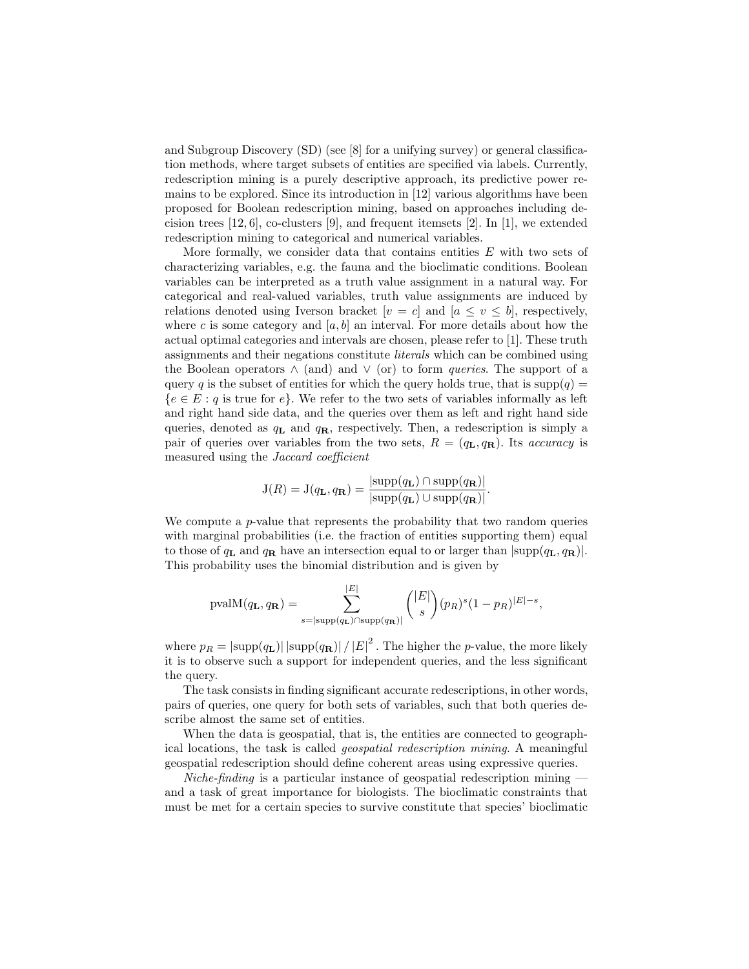and Subgroup Discovery (SD) (see [8] for a unifying survey) or general classification methods, where target subsets of entities are specified via labels. Currently, redescription mining is a purely descriptive approach, its predictive power remains to be explored. Since its introduction in [12] various algorithms have been proposed for Boolean redescription mining, based on approaches including decision trees  $[12, 6]$ , co-clusters  $[9]$ , and frequent itemsets  $[2]$ . In  $[1]$ , we extended redescription mining to categorical and numerical variables.

More formally, we consider data that contains entities  $E$  with two sets of characterizing variables, e.g. the fauna and the bioclimatic conditions. Boolean variables can be interpreted as a truth value assignment in a natural way. For categorical and real-valued variables, truth value assignments are induced by relations denoted using Iverson bracket  $[v = c]$  and  $[a \le v \le b]$ , respectively, where c is some category and  $[a, b]$  an interval. For more details about how the actual optimal categories and intervals are chosen, please refer to [1]. These truth assignments and their negations constitute literals which can be combined using the Boolean operators  $\wedge$  (and) and  $\vee$  (or) to form *queries*. The support of a query q is the subset of entities for which the query holds true, that is supp $(q)$  =  ${e \in E : q \text{ is true for } e}.$  We refer to the two sets of variables informally as left and right hand side data, and the queries over them as left and right hand side queries, denoted as  $q_L$  and  $q_R$ , respectively. Then, a redescription is simply a pair of queries over variables from the two sets,  $R = (q_L, q_R)$ . Its *accuracy* is measured using the Jaccard coefficient

$$
J(R) = J(q_{\mathbf{L}}, q_{\mathbf{R}}) = \frac{|\text{supp}(q_{\mathbf{L}}) \cap \text{supp}(q_{\mathbf{R}})|}{|\text{supp}(q_{\mathbf{L}}) \cup \text{supp}(q_{\mathbf{R}})|}.
$$

We compute a  $p$ -value that represents the probability that two random queries with marginal probabilities (i.e. the fraction of entities supporting them) equal to those of  $q_L$  and  $q_R$  have an intersection equal to or larger than  $|\text{supp}(q_L, q_R)|$ . This probability uses the binomial distribution and is given by

$$
\text{pvalM}(q_{\mathbf{L}}, q_{\mathbf{R}}) = \sum_{s=|\text{supp}(q_{\mathbf{L}}) \cap \text{supp}(q_{\mathbf{R}})|}^{|E|} { |E| \choose s} (p_R)^s (1-p_R)^{|E|-s},
$$

where  $p_R = |\text{supp}(q_L)| \, |\text{supp}(q_R)| \, / \, |E|^2$ . The higher the *p*-value, the more likely it is to observe such a support for independent queries, and the less significant the query.

The task consists in finding significant accurate redescriptions, in other words, pairs of queries, one query for both sets of variables, such that both queries describe almost the same set of entities.

When the data is geospatial, that is, the entities are connected to geographical locations, the task is called geospatial redescription mining. A meaningful geospatial redescription should define coherent areas using expressive queries.

Niche-finding is a particular instance of geospatial redescription mining  $$ and a task of great importance for biologists. The bioclimatic constraints that must be met for a certain species to survive constitute that species' bioclimatic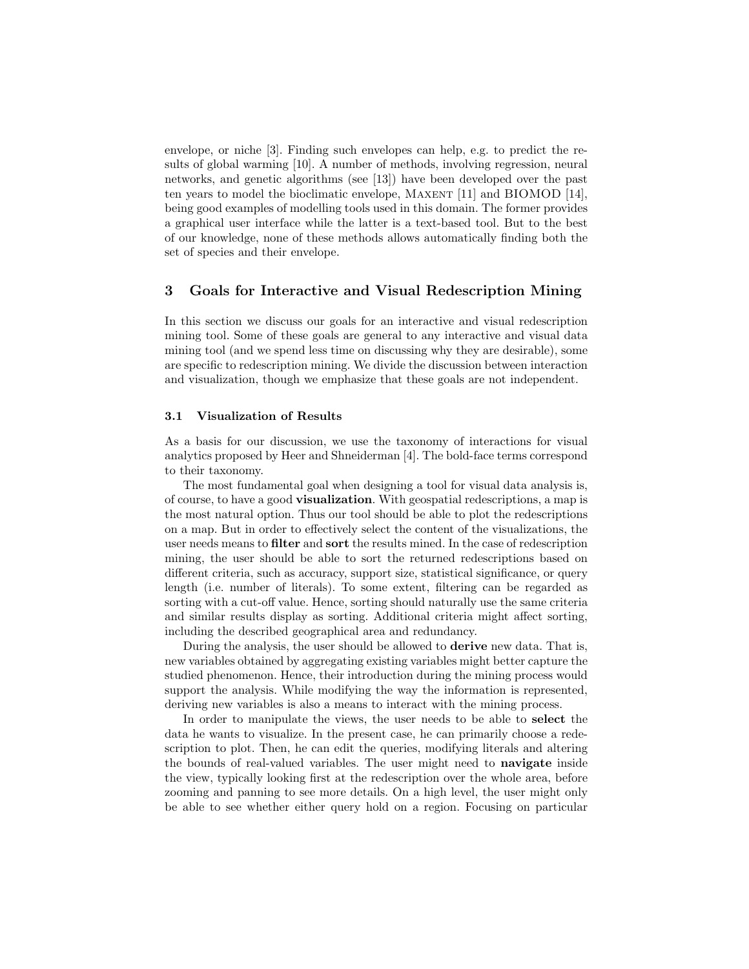envelope, or niche [3]. Finding such envelopes can help, e.g. to predict the results of global warming [10]. A number of methods, involving regression, neural networks, and genetic algorithms (see [13]) have been developed over the past ten years to model the bioclimatic envelope, MAXENT [11] and BIOMOD [14], being good examples of modelling tools used in this domain. The former provides a graphical user interface while the latter is a text-based tool. But to the best of our knowledge, none of these methods allows automatically finding both the set of species and their envelope.

## 3 Goals for Interactive and Visual Redescription Mining

In this section we discuss our goals for an interactive and visual redescription mining tool. Some of these goals are general to any interactive and visual data mining tool (and we spend less time on discussing why they are desirable), some are specific to redescription mining. We divide the discussion between interaction and visualization, though we emphasize that these goals are not independent.

#### 3.1 Visualization of Results

As a basis for our discussion, we use the taxonomy of interactions for visual analytics proposed by Heer and Shneiderman [4]. The bold-face terms correspond to their taxonomy.

The most fundamental goal when designing a tool for visual data analysis is, of course, to have a good visualization. With geospatial redescriptions, a map is the most natural option. Thus our tool should be able to plot the redescriptions on a map. But in order to effectively select the content of the visualizations, the user needs means to filter and sort the results mined. In the case of redescription mining, the user should be able to sort the returned redescriptions based on different criteria, such as accuracy, support size, statistical significance, or query length (i.e. number of literals). To some extent, filtering can be regarded as sorting with a cut-off value. Hence, sorting should naturally use the same criteria and similar results display as sorting. Additional criteria might affect sorting, including the described geographical area and redundancy.

During the analysis, the user should be allowed to derive new data. That is, new variables obtained by aggregating existing variables might better capture the studied phenomenon. Hence, their introduction during the mining process would support the analysis. While modifying the way the information is represented, deriving new variables is also a means to interact with the mining process.

In order to manipulate the views, the user needs to be able to select the data he wants to visualize. In the present case, he can primarily choose a redescription to plot. Then, he can edit the queries, modifying literals and altering the bounds of real-valued variables. The user might need to navigate inside the view, typically looking first at the redescription over the whole area, before zooming and panning to see more details. On a high level, the user might only be able to see whether either query hold on a region. Focusing on particular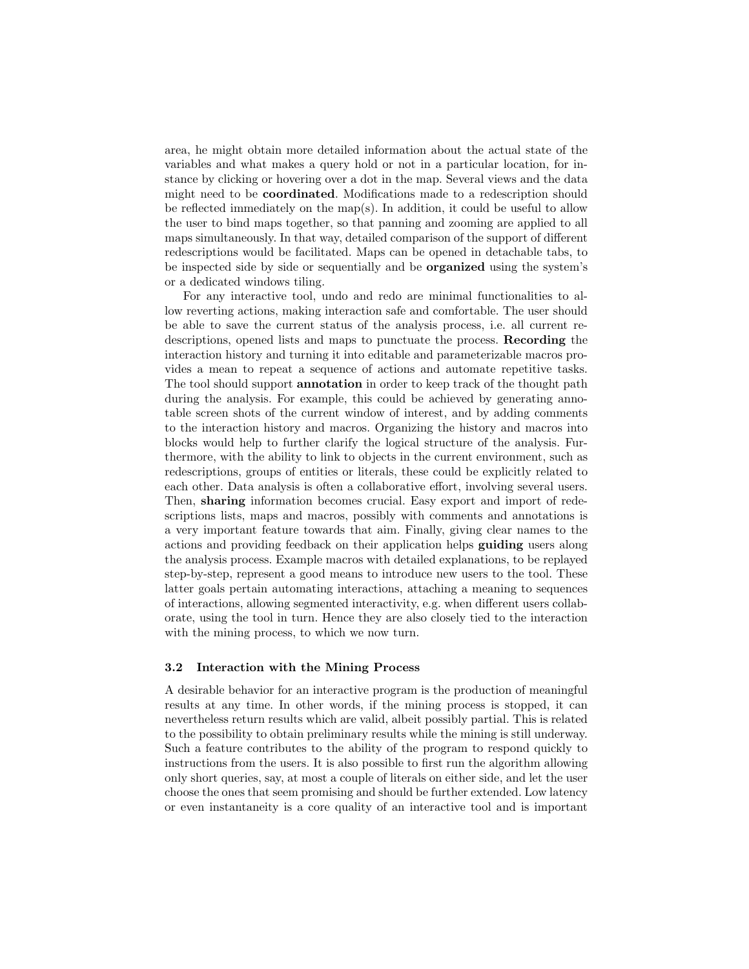area, he might obtain more detailed information about the actual state of the variables and what makes a query hold or not in a particular location, for instance by clicking or hovering over a dot in the map. Several views and the data might need to be coordinated. Modifications made to a redescription should be reflected immediately on the map(s). In addition, it could be useful to allow the user to bind maps together, so that panning and zooming are applied to all maps simultaneously. In that way, detailed comparison of the support of different redescriptions would be facilitated. Maps can be opened in detachable tabs, to be inspected side by side or sequentially and be organized using the system's or a dedicated windows tiling.

For any interactive tool, undo and redo are minimal functionalities to allow reverting actions, making interaction safe and comfortable. The user should be able to save the current status of the analysis process, i.e. all current redescriptions, opened lists and maps to punctuate the process. Recording the interaction history and turning it into editable and parameterizable macros provides a mean to repeat a sequence of actions and automate repetitive tasks. The tool should support **annotation** in order to keep track of the thought path during the analysis. For example, this could be achieved by generating annotable screen shots of the current window of interest, and by adding comments to the interaction history and macros. Organizing the history and macros into blocks would help to further clarify the logical structure of the analysis. Furthermore, with the ability to link to objects in the current environment, such as redescriptions, groups of entities or literals, these could be explicitly related to each other. Data analysis is often a collaborative effort, involving several users. Then, sharing information becomes crucial. Easy export and import of redescriptions lists, maps and macros, possibly with comments and annotations is a very important feature towards that aim. Finally, giving clear names to the actions and providing feedback on their application helps guiding users along the analysis process. Example macros with detailed explanations, to be replayed step-by-step, represent a good means to introduce new users to the tool. These latter goals pertain automating interactions, attaching a meaning to sequences of interactions, allowing segmented interactivity, e.g. when different users collaborate, using the tool in turn. Hence they are also closely tied to the interaction with the mining process, to which we now turn.

#### 3.2 Interaction with the Mining Process

A desirable behavior for an interactive program is the production of meaningful results at any time. In other words, if the mining process is stopped, it can nevertheless return results which are valid, albeit possibly partial. This is related to the possibility to obtain preliminary results while the mining is still underway. Such a feature contributes to the ability of the program to respond quickly to instructions from the users. It is also possible to first run the algorithm allowing only short queries, say, at most a couple of literals on either side, and let the user choose the ones that seem promising and should be further extended. Low latency or even instantaneity is a core quality of an interactive tool and is important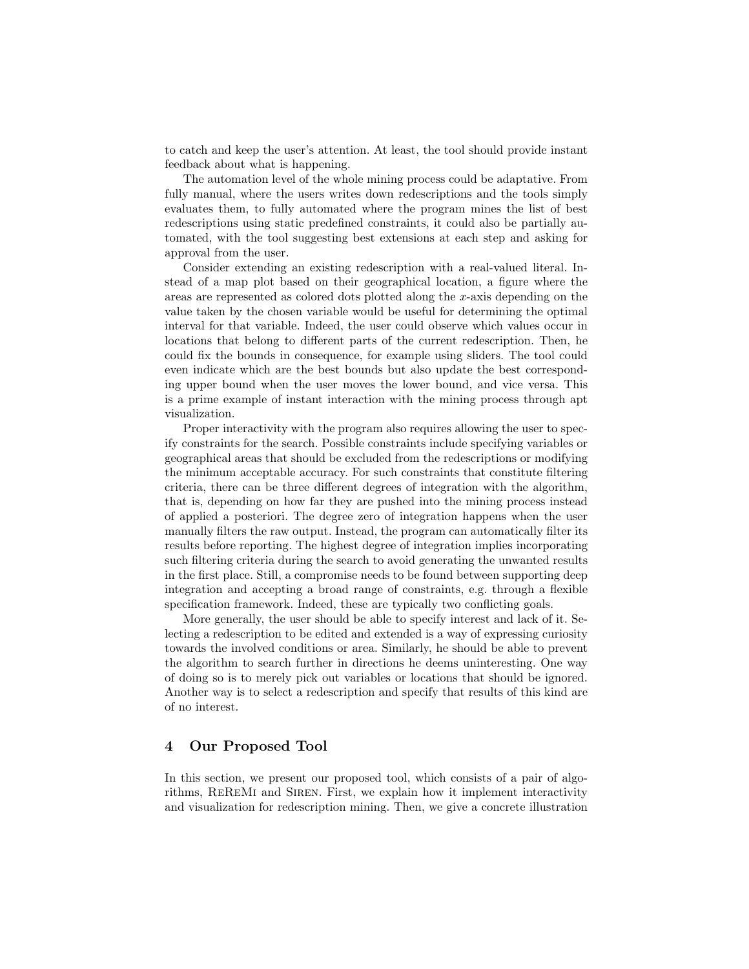to catch and keep the user's attention. At least, the tool should provide instant feedback about what is happening.

The automation level of the whole mining process could be adaptative. From fully manual, where the users writes down redescriptions and the tools simply evaluates them, to fully automated where the program mines the list of best redescriptions using static predefined constraints, it could also be partially automated, with the tool suggesting best extensions at each step and asking for approval from the user.

Consider extending an existing redescription with a real-valued literal. Instead of a map plot based on their geographical location, a figure where the areas are represented as colored dots plotted along the x-axis depending on the value taken by the chosen variable would be useful for determining the optimal interval for that variable. Indeed, the user could observe which values occur in locations that belong to different parts of the current redescription. Then, he could fix the bounds in consequence, for example using sliders. The tool could even indicate which are the best bounds but also update the best corresponding upper bound when the user moves the lower bound, and vice versa. This is a prime example of instant interaction with the mining process through apt visualization.

Proper interactivity with the program also requires allowing the user to specify constraints for the search. Possible constraints include specifying variables or geographical areas that should be excluded from the redescriptions or modifying the minimum acceptable accuracy. For such constraints that constitute filtering criteria, there can be three different degrees of integration with the algorithm, that is, depending on how far they are pushed into the mining process instead of applied a posteriori. The degree zero of integration happens when the user manually filters the raw output. Instead, the program can automatically filter its results before reporting. The highest degree of integration implies incorporating such filtering criteria during the search to avoid generating the unwanted results in the first place. Still, a compromise needs to be found between supporting deep integration and accepting a broad range of constraints, e.g. through a flexible specification framework. Indeed, these are typically two conflicting goals.

More generally, the user should be able to specify interest and lack of it. Selecting a redescription to be edited and extended is a way of expressing curiosity towards the involved conditions or area. Similarly, he should be able to prevent the algorithm to search further in directions he deems uninteresting. One way of doing so is to merely pick out variables or locations that should be ignored. Another way is to select a redescription and specify that results of this kind are of no interest.

## 4 Our Proposed Tool

In this section, we present our proposed tool, which consists of a pair of algorithms, REREMI and SIREN. First, we explain how it implement interactivity and visualization for redescription mining. Then, we give a concrete illustration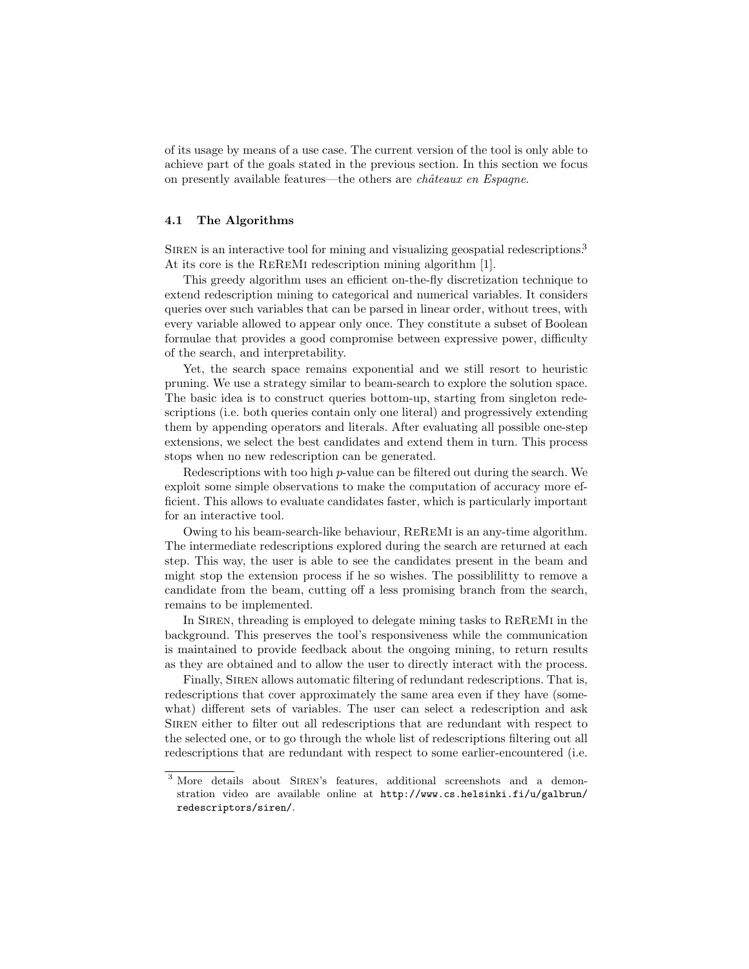of its usage by means of a use case. The current version of the tool is only able to achieve part of the goals stated in the previous section. In this section we focus on presently available features—the others are *châteaux en Espagne*.

#### 4.1 The Algorithms

SIREN is an interactive tool for mining and visualizing geospatial redescriptions.<sup>3</sup> At its core is the REREMI redescription mining algorithm [1].

This greedy algorithm uses an efficient on-the-fly discretization technique to extend redescription mining to categorical and numerical variables. It considers queries over such variables that can be parsed in linear order, without trees, with every variable allowed to appear only once. They constitute a subset of Boolean formulae that provides a good compromise between expressive power, difficulty of the search, and interpretability.

Yet, the search space remains exponential and we still resort to heuristic pruning. We use a strategy similar to beam-search to explore the solution space. The basic idea is to construct queries bottom-up, starting from singleton redescriptions (i.e. both queries contain only one literal) and progressively extending them by appending operators and literals. After evaluating all possible one-step extensions, we select the best candidates and extend them in turn. This process stops when no new redescription can be generated.

Redescriptions with too high p-value can be filtered out during the search. We exploit some simple observations to make the computation of accuracy more efficient. This allows to evaluate candidates faster, which is particularly important for an interactive tool.

Owing to his beam-search-like behaviour, ReReMi is an any-time algorithm. The intermediate redescriptions explored during the search are returned at each step. This way, the user is able to see the candidates present in the beam and might stop the extension process if he so wishes. The possiblilitty to remove a candidate from the beam, cutting off a less promising branch from the search, remains to be implemented.

In SIREN, threading is employed to delegate mining tasks to REREMI in the background. This preserves the tool's responsiveness while the communication is maintained to provide feedback about the ongoing mining, to return results as they are obtained and to allow the user to directly interact with the process.

Finally, SIREN allows automatic filtering of redundant redescriptions. That is, redescriptions that cover approximately the same area even if they have (somewhat) different sets of variables. The user can select a redescription and ask Siren either to filter out all redescriptions that are redundant with respect to the selected one, or to go through the whole list of redescriptions filtering out all redescriptions that are redundant with respect to some earlier-encountered (i.e.

<sup>&</sup>lt;sup>3</sup> More details about SIREN's features, additional screenshots and a demonstration video are available online at http://www.cs.helsinki.fi/u/galbrun/ redescriptors/siren/.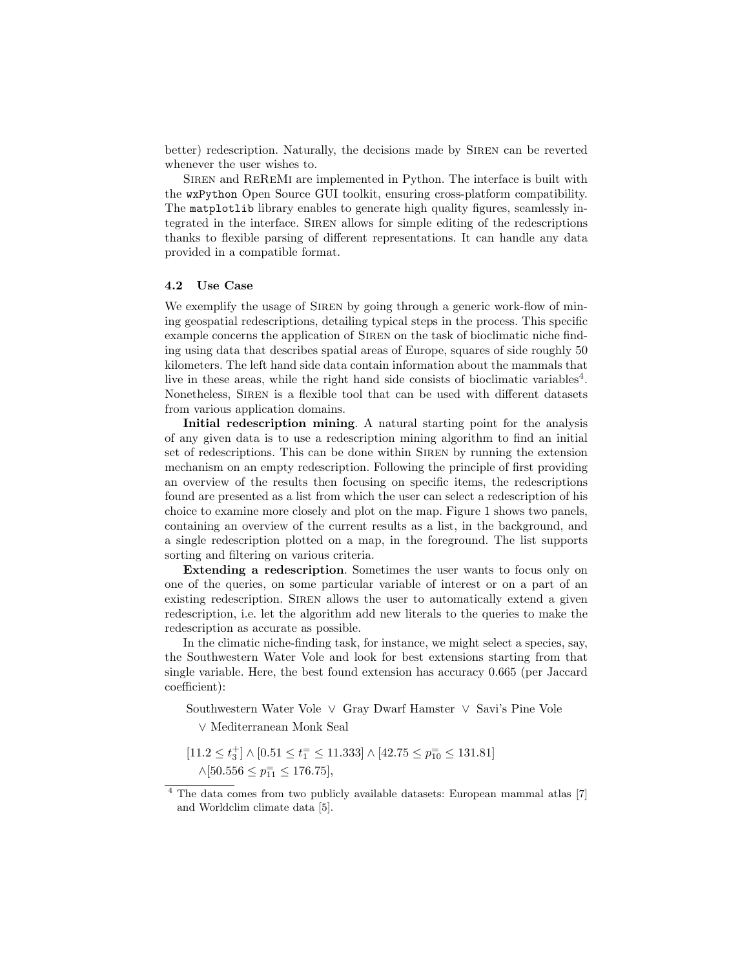better) redescription. Naturally, the decisions made by Siren can be reverted whenever the user wishes to.

Siren and ReReMi are implemented in Python. The interface is built with the wxPython Open Source GUI toolkit, ensuring cross-platform compatibility. The matplotlib library enables to generate high quality figures, seamlessly integrated in the interface. SIREN allows for simple editing of the redescriptions thanks to flexible parsing of different representations. It can handle any data provided in a compatible format.

#### 4.2 Use Case

We exemplify the usage of SIREN by going through a generic work-flow of mining geospatial redescriptions, detailing typical steps in the process. This specific example concerns the application of SIREN on the task of bioclimatic niche finding using data that describes spatial areas of Europe, squares of side roughly 50 kilometers. The left hand side data contain information about the mammals that live in these areas, while the right hand side consists of bioclimatic variables<sup>4</sup>. Nonetheless, SIREN is a flexible tool that can be used with different datasets from various application domains.

Initial redescription mining. A natural starting point for the analysis of any given data is to use a redescription mining algorithm to find an initial set of redescriptions. This can be done within SIREN by running the extension mechanism on an empty redescription. Following the principle of first providing an overview of the results then focusing on specific items, the redescriptions found are presented as a list from which the user can select a redescription of his choice to examine more closely and plot on the map. Figure 1 shows two panels, containing an overview of the current results as a list, in the background, and a single redescription plotted on a map, in the foreground. The list supports sorting and filtering on various criteria.

Extending a redescription. Sometimes the user wants to focus only on one of the queries, on some particular variable of interest or on a part of an existing redescription. SIREN allows the user to automatically extend a given redescription, i.e. let the algorithm add new literals to the queries to make the redescription as accurate as possible.

In the climatic niche-finding task, for instance, we might select a species, say, the Southwestern Water Vole and look for best extensions starting from that single variable. Here, the best found extension has accuracy 0.665 (per Jaccard coefficient):

Southwestern Water Vole ∨ Gray Dwarf Hamster ∨ Savi's Pine Vole

∨ Mediterranean Monk Seal

 $[11.2 \leq t_3^+] \wedge [0.51 \leq t_1^=\leq 11.333] \wedge [42.75 \leq p_{10}^=\leq 131.81]$  $\wedge$ [50.556  $\leq p_{11}^{\pm} \leq 176.75$ ],

<sup>&</sup>lt;sup>4</sup> The data comes from two publicly available datasets: European mammal atlas [7] and Worldclim climate data [5].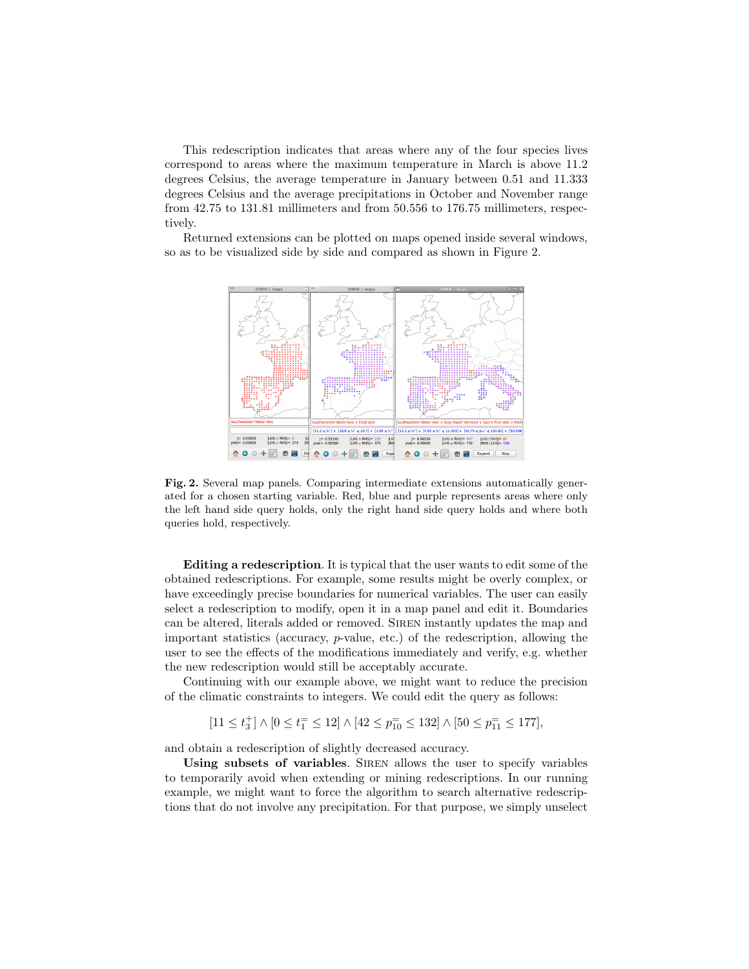This redescription indicates that areas where any of the four species lives correspond to areas where the maximum temperature in March is above 11.2 degrees Celsius, the average temperature in January between 0.51 and 11.333 degrees Celsius and the average precipitations in October and November range from 42.75 to 131.81 millimeters and from 50.556 to 176.75 millimeters, respectively.

Returned extensions can be plotted on maps opened inside several windows, so as to be visualized side by side and compared as shown in Figure 2.



Fig. 2. Several map panels. Comparing intermediate extensions automatically generated for a chosen starting variable. Red, blue and purple represents areas where only the left hand side query holds, only the right hand side query holds and where both queries hold, respectively.

Editing a redescription. It is typical that the user wants to edit some of the obtained redescriptions. For example, some results might be overly complex, or have exceedingly precise boundaries for numerical variables. The user can easily select a redescription to modify, open it in a map panel and edit it. Boundaries can be altered, literals added or removed. Siren instantly updates the map and important statistics (accuracy, p-value, etc.) of the redescription, allowing the user to see the effects of the modifications immediately and verify, e.g. whether the new redescription would still be acceptably accurate.

Continuing with our example above, we might want to reduce the precision of the climatic constraints to integers. We could edit the query as follows:

 $[11 \le t_3^+] \wedge [0 \le t_1^= \le 12] \wedge [42 \le p_{10}^= \le 132] \wedge [50 \le p_{11}^= \le 177],$ 

and obtain a redescription of slightly decreased accuracy.

Using subsets of variables. SIREN allows the user to specify variables to temporarily avoid when extending or mining redescriptions. In our running example, we might want to force the algorithm to search alternative redescriptions that do not involve any precipitation. For that purpose, we simply unselect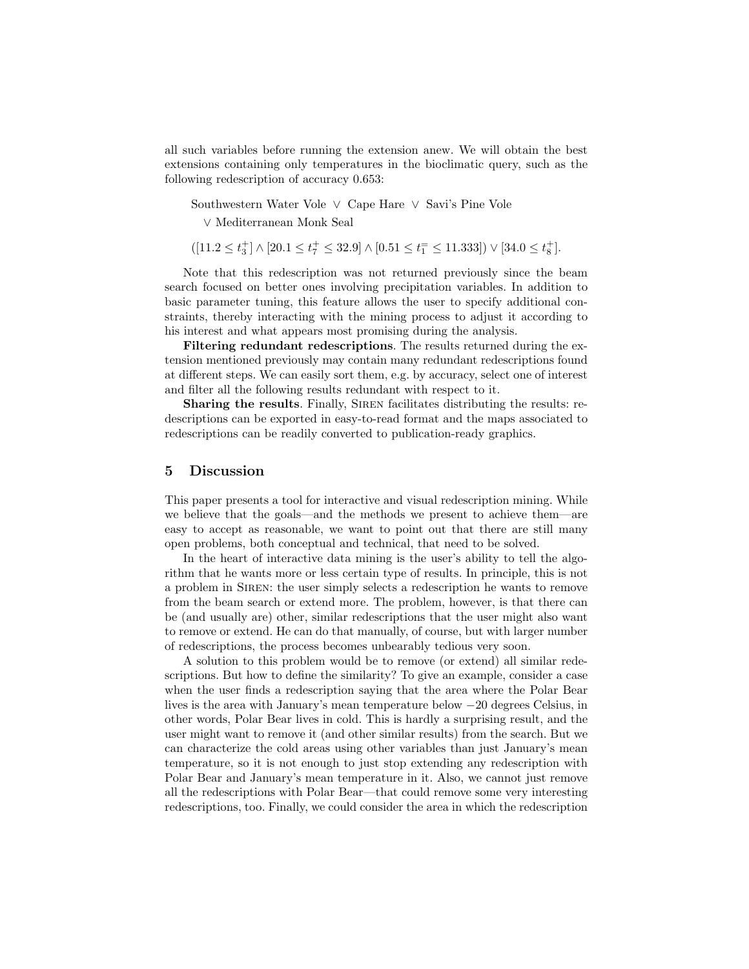all such variables before running the extension anew. We will obtain the best extensions containing only temperatures in the bioclimatic query, such as the following redescription of accuracy 0.653:

Southwestern Water Vole ∨ Cape Hare ∨ Savi's Pine Vole

∨ Mediterranean Monk Seal

$$
([11.2 \le t_3^+] \land [20.1 \le t_7^+ \le 32.9] \land [0.51 \le t_1^- \le 11.333]) \lor [34.0 \le t_8^+].
$$

Note that this redescription was not returned previously since the beam search focused on better ones involving precipitation variables. In addition to basic parameter tuning, this feature allows the user to specify additional constraints, thereby interacting with the mining process to adjust it according to his interest and what appears most promising during the analysis.

Filtering redundant redescriptions. The results returned during the extension mentioned previously may contain many redundant redescriptions found at different steps. We can easily sort them, e.g. by accuracy, select one of interest and filter all the following results redundant with respect to it.

Sharing the results. Finally, SIREN facilitates distributing the results: redescriptions can be exported in easy-to-read format and the maps associated to redescriptions can be readily converted to publication-ready graphics.

## 5 Discussion

This paper presents a tool for interactive and visual redescription mining. While we believe that the goals—and the methods we present to achieve them—are easy to accept as reasonable, we want to point out that there are still many open problems, both conceptual and technical, that need to be solved.

In the heart of interactive data mining is the user's ability to tell the algorithm that he wants more or less certain type of results. In principle, this is not a problem in SIREN: the user simply selects a redescription he wants to remove from the beam search or extend more. The problem, however, is that there can be (and usually are) other, similar redescriptions that the user might also want to remove or extend. He can do that manually, of course, but with larger number of redescriptions, the process becomes unbearably tedious very soon.

A solution to this problem would be to remove (or extend) all similar redescriptions. But how to define the similarity? To give an example, consider a case when the user finds a redescription saying that the area where the Polar Bear lives is the area with January's mean temperature below −20 degrees Celsius, in other words, Polar Bear lives in cold. This is hardly a surprising result, and the user might want to remove it (and other similar results) from the search. But we can characterize the cold areas using other variables than just January's mean temperature, so it is not enough to just stop extending any redescription with Polar Bear and January's mean temperature in it. Also, we cannot just remove all the redescriptions with Polar Bear—that could remove some very interesting redescriptions, too. Finally, we could consider the area in which the redescription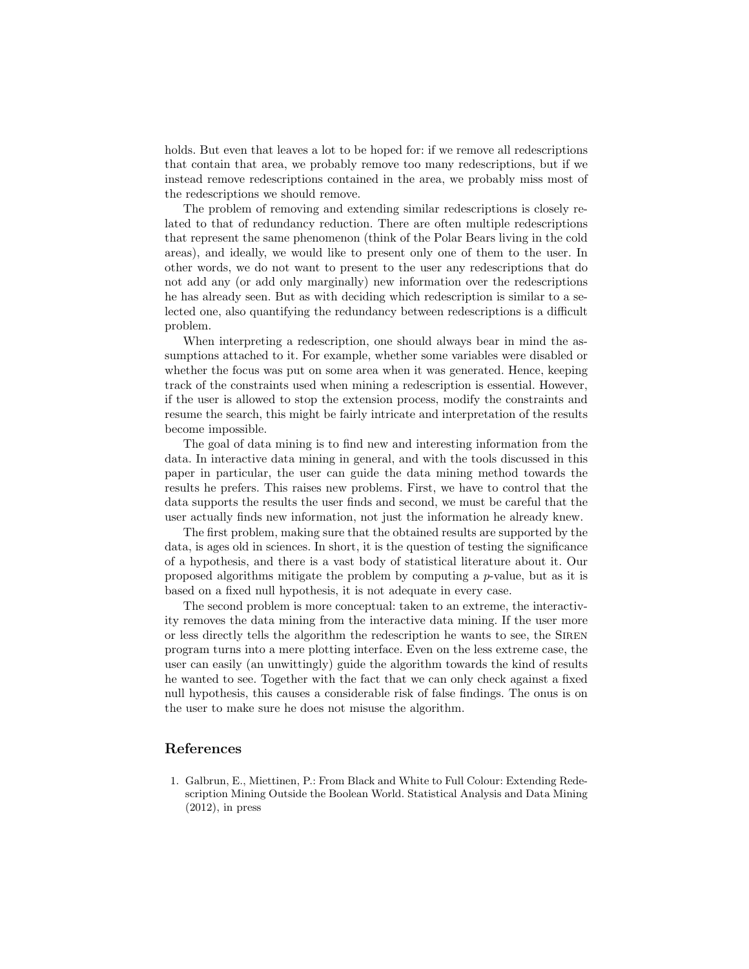holds. But even that leaves a lot to be hoped for: if we remove all redescriptions that contain that area, we probably remove too many redescriptions, but if we instead remove redescriptions contained in the area, we probably miss most of the redescriptions we should remove.

The problem of removing and extending similar redescriptions is closely related to that of redundancy reduction. There are often multiple redescriptions that represent the same phenomenon (think of the Polar Bears living in the cold areas), and ideally, we would like to present only one of them to the user. In other words, we do not want to present to the user any redescriptions that do not add any (or add only marginally) new information over the redescriptions he has already seen. But as with deciding which redescription is similar to a selected one, also quantifying the redundancy between redescriptions is a difficult problem.

When interpreting a redescription, one should always bear in mind the assumptions attached to it. For example, whether some variables were disabled or whether the focus was put on some area when it was generated. Hence, keeping track of the constraints used when mining a redescription is essential. However, if the user is allowed to stop the extension process, modify the constraints and resume the search, this might be fairly intricate and interpretation of the results become impossible.

The goal of data mining is to find new and interesting information from the data. In interactive data mining in general, and with the tools discussed in this paper in particular, the user can guide the data mining method towards the results he prefers. This raises new problems. First, we have to control that the data supports the results the user finds and second, we must be careful that the user actually finds new information, not just the information he already knew.

The first problem, making sure that the obtained results are supported by the data, is ages old in sciences. In short, it is the question of testing the significance of a hypothesis, and there is a vast body of statistical literature about it. Our proposed algorithms mitigate the problem by computing a p-value, but as it is based on a fixed null hypothesis, it is not adequate in every case.

The second problem is more conceptual: taken to an extreme, the interactivity removes the data mining from the interactive data mining. If the user more or less directly tells the algorithm the redescription he wants to see, the Siren program turns into a mere plotting interface. Even on the less extreme case, the user can easily (an unwittingly) guide the algorithm towards the kind of results he wanted to see. Together with the fact that we can only check against a fixed null hypothesis, this causes a considerable risk of false findings. The onus is on the user to make sure he does not misuse the algorithm.

#### References

1. Galbrun, E., Miettinen, P.: From Black and White to Full Colour: Extending Redescription Mining Outside the Boolean World. Statistical Analysis and Data Mining  $(2012)$ , in press